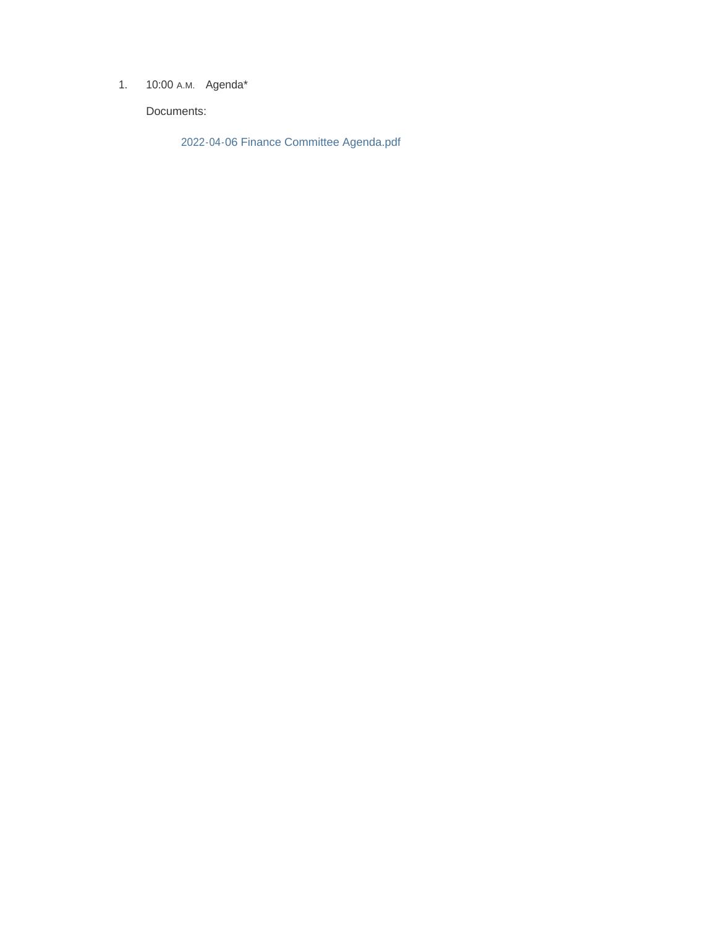1. 10:00 A.M. Agenda\*

Documents:

2022-04-06 Finance Committee Agenda.pdf